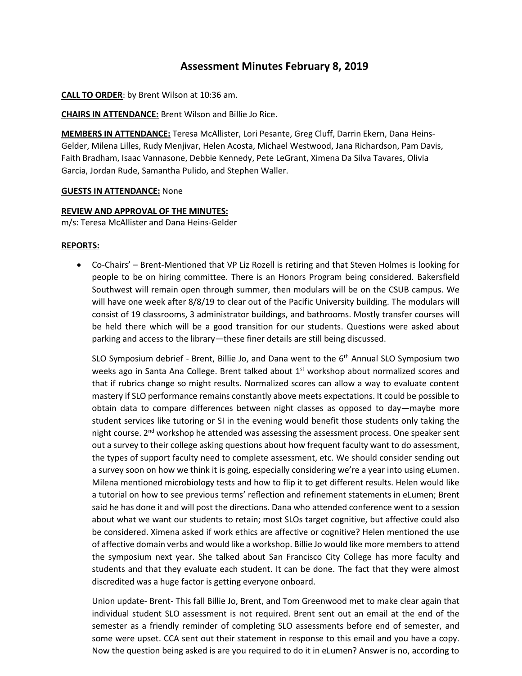## **Assessment Minutes February 8, 2019**

**CALL TO ORDER**: by Brent Wilson at 10:36 am.

**CHAIRS IN ATTENDANCE:** Brent Wilson and Billie Jo Rice.

**MEMBERS IN ATTENDANCE:** Teresa McAllister, Lori Pesante, Greg Cluff, Darrin Ekern, Dana Heins-Gelder, Milena Lilles, Rudy Menjivar, Helen Acosta, Michael Westwood, Jana Richardson, Pam Davis, Faith Bradham, Isaac Vannasone, Debbie Kennedy, Pete LeGrant, Ximena Da Silva Tavares, Olivia Garcia, Jordan Rude, Samantha Pulido, and Stephen Waller.

## **GUESTS IN ATTENDANCE:** None

## **REVIEW AND APPROVAL OF THE MINUTES:**

m/s: Teresa McAllister and Dana Heins-Gelder

## **REPORTS:**

 Co-Chairs' – Brent-Mentioned that VP Liz Rozell is retiring and that Steven Holmes is looking for people to be on hiring committee. There is an Honors Program being considered. Bakersfield Southwest will remain open through summer, then modulars will be on the CSUB campus. We will have one week after 8/8/19 to clear out of the Pacific University building. The modulars will consist of 19 classrooms, 3 administrator buildings, and bathrooms. Mostly transfer courses will be held there which will be a good transition for our students. Questions were asked about parking and access to the library—these finer details are still being discussed.

SLO Symposium debrief - Brent, Billie Jo, and Dana went to the 6<sup>th</sup> Annual SLO Symposium two weeks ago in Santa Ana College. Brent talked about 1<sup>st</sup> workshop about normalized scores and that if rubrics change so might results. Normalized scores can allow a way to evaluate content mastery if SLO performance remains constantly above meets expectations. It could be possible to obtain data to compare differences between night classes as opposed to day—maybe more student services like tutoring or SI in the evening would benefit those students only taking the night course.  $2^{nd}$  workshop he attended was assessing the assessment process. One speaker sent out a survey to their college asking questions about how frequent faculty want to do assessment, the types of support faculty need to complete assessment, etc. We should consider sending out a survey soon on how we think it is going, especially considering we're a year into using eLumen. Milena mentioned microbiology tests and how to flip it to get different results. Helen would like a tutorial on how to see previous terms' reflection and refinement statements in eLumen; Brent said he has done it and will post the directions. Dana who attended conference went to a session about what we want our students to retain; most SLOs target cognitive, but affective could also be considered. Ximena asked if work ethics are affective or cognitive? Helen mentioned the use of affective domain verbs and would like a workshop. Billie Jo would like more membersto attend the symposium next year. She talked about San Francisco City College has more faculty and students and that they evaluate each student. It can be done. The fact that they were almost discredited was a huge factor is getting everyone onboard.

Union update- Brent- This fall Billie Jo, Brent, and Tom Greenwood met to make clear again that individual student SLO assessment is not required. Brent sent out an email at the end of the semester as a friendly reminder of completing SLO assessments before end of semester, and some were upset. CCA sent out their statement in response to this email and you have a copy. Now the question being asked is are you required to do it in eLumen? Answer is no, according to